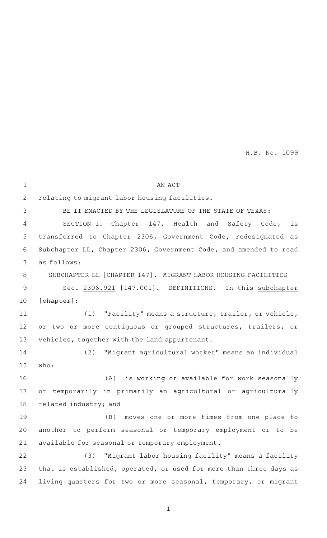| $\mathbf 1$    | AN ACT                                                                       |
|----------------|------------------------------------------------------------------------------|
| 2              | relating to migrant labor housing facilities.                                |
| 3              | BE IT ENACTED BY THE LEGISLATURE OF THE STATE OF TEXAS:                      |
| 4              | SECTION 1. Chapter 147, Health and Safety Code,<br>is                        |
| 5              | transferred to Chapter 2306, Government Code, redesignated as                |
| 6              | Subchapter LL, Chapter 2306, Government Code, and amended to read            |
| 7              | as follows:                                                                  |
| 8              | SUBCHAPTER LL [CHAPTER 147]. MIGRANT LABOR HOUSING FACILITIES                |
| $\overline{9}$ | Sec. 2306.921 [ <del>147.001</del> ]. DEFINITIONS. In this subchapter        |
| 10             | [ <b>chapter</b> ]:                                                          |
| 11             | "Facility" means a structure, trailer, or vehicle,<br>(1)                    |
| 12             | or two or more contiguous or grouped structures, trailers, or                |
| 13             | vehicles, together with the land appurtenant.                                |
| 14             | "Migrant agricultural worker" means an individual<br>(2)                     |
| 15             | who:                                                                         |
| 16             | is working or available for work seasonally<br>(A)                           |
| 17             | temporarily in primarily an agricultural or agriculturally<br>O <sub>T</sub> |
| 18             | related industry; and                                                        |
| 19             | moves one or more times from one place to<br>(B)                             |
| 20             | another to perform seasonal or temporary employment or to be                 |
| 21             | available for seasonal or temporary employment.                              |
| 22             | "Migrant labor housing facility" means a facility<br>(3)                     |
| 23             | that is established, operated, or used for more than three days as           |
| 24             | living quarters for two or more seasonal, temporary, or migrant              |
|                |                                                                              |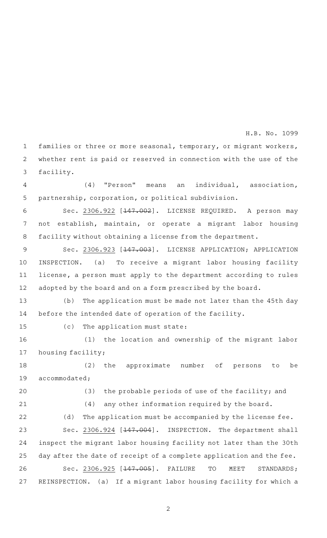families or three or more seasonal, temporary, or migrant workers, whether rent is paid or reserved in connection with the use of the facility. 1 2 3

(4) "Person" means an individual, association, partnership, corporation, or political subdivision. 4 5

Sec. 2306.922 [<del>147.002</del>]. LICENSE REQUIRED. A person may not establish, maintain, or operate a migrant labor housing facility without obtaining a license from the department. 6 7 8

Sec. 2306.923 [<del>147.003</del>]. LICENSE APPLICATION; APPLICATION INSPECTION. (a) To receive a migrant labor housing facility license, a person must apply to the department according to rules adopted by the board and on a form prescribed by the board. 9 10 11 12

(b) The application must be made not later than the 45th day before the intended date of operation of the facility. 13 14

15

 $(c)$  The application must state:

(1) the location and ownership of the migrant labor housing facility; 16 17

(2) the approximate number of persons to be accommodated; 18 19

20

 $(3)$  the probable periods of use of the facility; and

21

 $(4)$  any other information required by the board.

(d) The application must be accompanied by the license fee. Sec. 2306.924 [147.004]. INSPECTION. The department shall inspect the migrant labor housing facility not later than the 30th day after the date of receipt of a complete application and the fee. Sec. 2306.925 [<del>147.005</del>]. FAILURE TO MEET STANDARDS; 22 23 24 25 26

REINSPECTION. (a) If a migrant labor housing facility for which a 27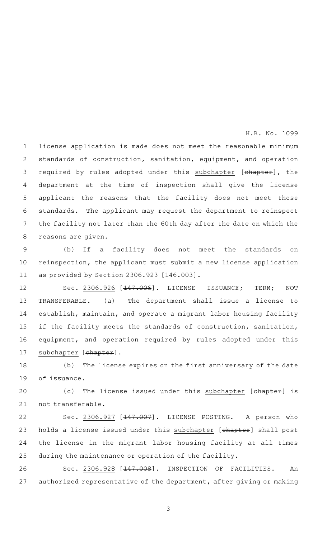license application is made does not meet the reasonable minimum standards of construction, sanitation, equipment, and operation required by rules adopted under this subchapter [chapter], the department at the time of inspection shall give the license applicant the reasons that the facility does not meet those standards. The applicant may request the department to reinspect the facility not later than the 60th day after the date on which the reasons are given. 1 2 3 4 5 6 7 8

(b) If a facility does not meet the standards on reinspection, the applicant must submit a new license application as provided by Section 2306.923 [146.003]. 9 10 11

Sec. 2306.926 [<del>147.006</del>]. LICENSE ISSUANCE; TERM; NOT TRANSFERABLE. (a) The department shall issue a license to establish, maintain, and operate a migrant labor housing facility if the facility meets the standards of construction, sanitation, equipment, and operation required by rules adopted under this subchapter [chapter]. 12 13 14 15 16 17

(b) The license expires on the first anniversary of the date of issuance. 18 19

(c) The license issued under this subchapter [chapter] is not transferable. 20 21

Sec. 2306.927 [147.007]. LICENSE POSTING. A person who holds a license issued under this subchapter [chapter] shall post the license in the migrant labor housing facility at all times during the maintenance or operation of the facility. 22 23 24 25

Sec. 2306.928 [<del>147.008</del>]. INSPECTION OF FACILITIES. An authorized representative of the department, after giving or making 26 27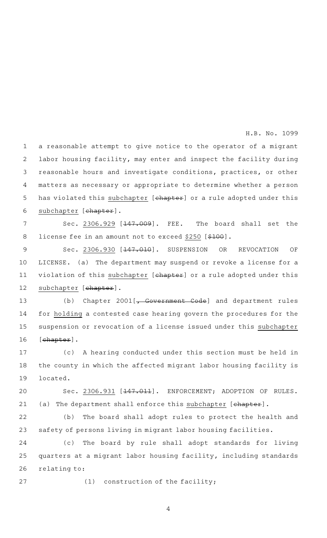a reasonable attempt to give notice to the operator of a migrant labor housing facility, may enter and inspect the facility during reasonable hours and investigate conditions, practices, or other matters as necessary or appropriate to determine whether a person has violated this subchapter [chapter] or a rule adopted under this subchapter [chapter]. 1 2 3 4 5 6

Sec. 2306.929  $[147.009]$ . FEE. The board shall set the license fee in an amount not to exceed \$250 [\$100]. 7 8

Sec. 2306.930 [<del>147.010</del>]. SUSPENSION OR REVOCATION OF LICENSE. (a) The department may suspend or revoke a license for a violation of this subchapter [chapter] or a rule adopted under this subchapter [chapter]. 9 10 11 12

(b) Chapter  $2001[\textit{,-}$  Government Code] and department rules for holding a contested case hearing govern the procedures for the suspension or revocation of a license issued under this subchapter [chapter]. 13 14 15 16

(c)AAA hearing conducted under this section must be held in the county in which the affected migrant labor housing facility is located. 17 18 19

Sec. 2306.931 [<del>147.011</del>]. ENFORCEMENT; ADOPTION OF RULES. (a) The department shall enforce this subchapter [chapter]. 20 21

(b) The board shall adopt rules to protect the health and safety of persons living in migrant labor housing facilities. 22 23

(c) The board by rule shall adopt standards for living quarters at a migrant labor housing facility, including standards relating to: 24 25 26

27

 $(1)$  construction of the facility;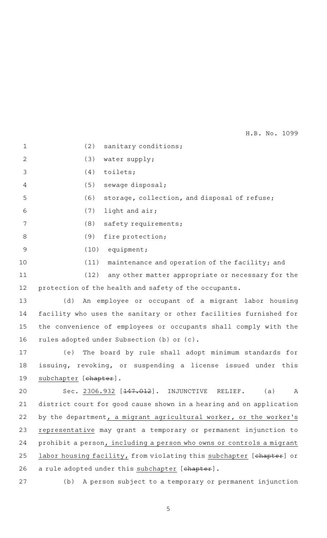| $\mathbf{1}$   | (2)<br>sanitary conditions;                                             |
|----------------|-------------------------------------------------------------------------|
| 2              | water supply;<br>(3)                                                    |
| 3              | (4)<br>toilets;                                                         |
| 4              | (5)<br>sewage disposal;                                                 |
| 5              | (6)<br>storage, collection, and disposal of refuse;                     |
| 6              | (7)<br>light and air;                                                   |
| 7              | (8)<br>safety requirements;                                             |
| 8              | (9)<br>fire protection;                                                 |
| $\overline{9}$ | (10)<br>equipment;                                                      |
| 10             | (11)<br>maintenance and operation of the facility; and                  |
| 11             | (12)<br>any other matter appropriate or necessary for the               |
| 12             | protection of the health and safety of the occupants.                   |
| 13             | (d)<br>An employee or occupant of a migrant labor housing               |
| 14             | facility who uses the sanitary or other facilities furnished for        |
| 15             | the convenience of employees or occupants shall comply with the         |
| 16             | rules adopted under Subsection (b) or (c).                              |
| 17             | The board by rule shall adopt minimum standards for<br>(e)              |
| 18             | issuing, revoking, or suspending a license issued under this            |
| 19             | subchapter [ <del>chapter</del> ].                                      |
| 20             | Sec. 2306.932 [ <del>147.012</del> ]. INJUNCTIVE<br>(a)<br>RELIEF.<br>Α |
| 21             | district court for good cause shown in a hearing and on application     |
| 22             | by the department, a migrant agricultural worker, or the worker's       |
| 23             | representative may grant a temporary or permanent injunction to         |
| 24             | prohibit a person, including a person who owns or controls a migrant    |
| 25             | labor housing facility, from violating this subchapter [chapter] or     |
| 26             | a rule adopted under this subchapter [chapter].                         |
| 27             | (b)<br>A person subject to a temporary or permanent injunction          |
|                |                                                                         |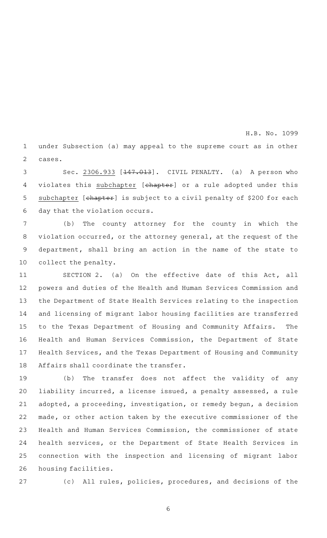under Subsection (a) may appeal to the supreme court as in other cases. 1 2

H.B. No. 1099

Sec. 2306.933 [<del>147.013</del>]. CIVIL PENALTY. (a) A person who violates this subchapter [chapter] or a rule adopted under this subchapter [chapter] is subject to a civil penalty of \$200 for each day that the violation occurs. 3 4 5 6

(b) The county attorney for the county in which the violation occurred, or the attorney general, at the request of the department, shall bring an action in the name of the state to collect the penalty. 7 8 9 10

SECTION 2. (a) On the effective date of this Act, all powers and duties of the Health and Human Services Commission and the Department of State Health Services relating to the inspection and licensing of migrant labor housing facilities are transferred to the Texas Department of Housing and Community Affairs. The Health and Human Services Commission, the Department of State Health Services, and the Texas Department of Housing and Community Affairs shall coordinate the transfer. 11 12 13 14 15 16 17 18

(b) The transfer does not affect the validity of any liability incurred, a license issued, a penalty assessed, a rule adopted, a proceeding, investigation, or remedy begun, a decision made, or other action taken by the executive commissioner of the Health and Human Services Commission, the commissioner of state health services, or the Department of State Health Services in connection with the inspection and licensing of migrant labor housing facilities. 19 20 21 22 23 24 25 26

27

(c) All rules, policies, procedures, and decisions of the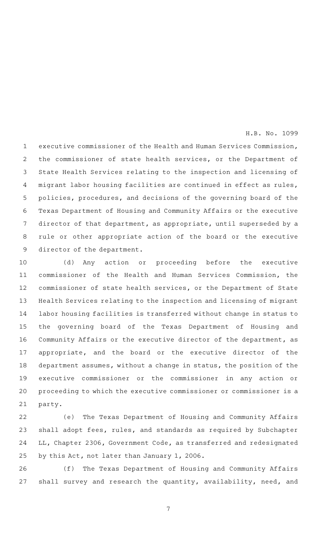executive commissioner of the Health and Human Services Commission, the commissioner of state health services, or the Department of State Health Services relating to the inspection and licensing of migrant labor housing facilities are continued in effect as rules, policies, procedures, and decisions of the governing board of the Texas Department of Housing and Community Affairs or the executive director of that department, as appropriate, until superseded by a rule or other appropriate action of the board or the executive director of the department. 1 2 3 4 5 6 7 8 9

(d) Any action or proceeding before the executive commissioner of the Health and Human Services Commission, the commissioner of state health services, or the Department of State Health Services relating to the inspection and licensing of migrant labor housing facilities is transferred without change in status to the governing board of the Texas Department of Housing and Community Affairs or the executive director of the department, as appropriate, and the board or the executive director of the department assumes, without a change in status, the position of the executive commissioner or the commissioner in any action or proceeding to which the executive commissioner or commissioner is a party. 10 11 12 13 14 15 16 17 18 19 20 21

(e) The Texas Department of Housing and Community Affairs shall adopt fees, rules, and standards as required by Subchapter LL, Chapter 2306, Government Code, as transferred and redesignated by this Act, not later than January 1, 2006. 22 23 24 25

(f) The Texas Department of Housing and Community Affairs shall survey and research the quantity, availability, need, and 26 27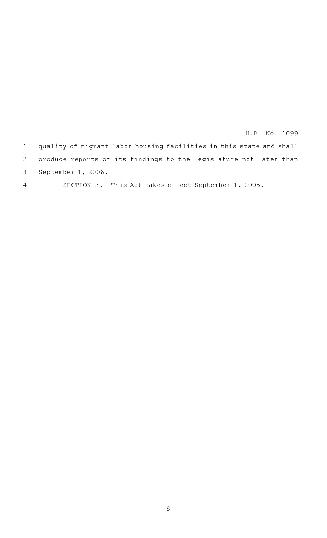|                | 1 quality of migrant labor housing facilities in this state and shall |
|----------------|-----------------------------------------------------------------------|
|                | 2 produce reports of its findings to the legislature not later than   |
|                | 3 September 1, 2006.                                                  |
| $\overline{4}$ | SECTION 3. This Act takes effect September 1, 2005.                   |